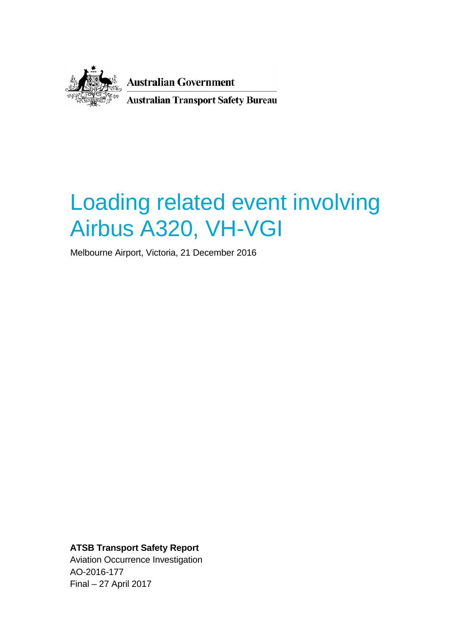

**Australian Government Australian Transport Safety Bureau** 

# Loading related event involving Airbus A320, VH-VGI

Melbourne Airport, Victoria, 21 December 2016

<span id="page-0-0"></span>**ATSB Transport Safety Report** Aviation Occurrence Investigation AO-2016-177 Final – 27 April 2017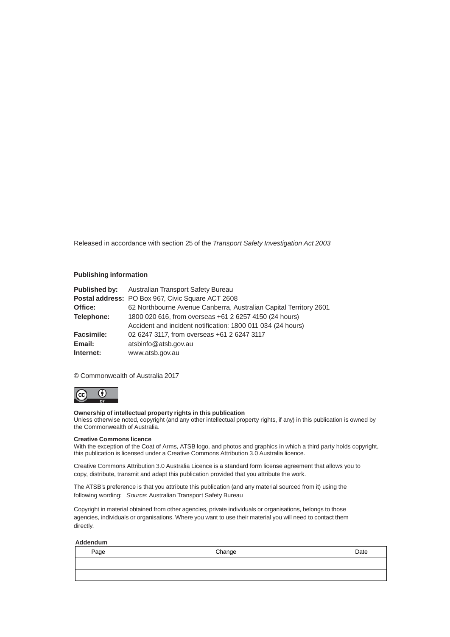Released in accordance with section 25 of the *Transport Safety Investigation Act 2003*

#### **Publishing information**

|                   | <b>Published by:</b> Australian Transport Safety Bureau           |
|-------------------|-------------------------------------------------------------------|
|                   | Postal address: PO Box 967, Civic Square ACT 2608                 |
| Office:           | 62 Northbourne Avenue Canberra, Australian Capital Territory 2601 |
| Telephone:        | 1800 020 616, from overseas +61 2 6257 4150 (24 hours)            |
|                   | Accident and incident notification: 1800 011 034 (24 hours)       |
| <b>Facsimile:</b> | 02 6247 3117, from overseas +61 2 6247 3117                       |
| Email:            | atsbinfo@atsb.gov.au                                              |
| Internet:         | www.atsb.gov.au                                                   |

#### © Commonwealth of Australia 2017



#### **Ownership of intellectual property rights in this publication**

Unless otherwise noted, copyright (and any other intellectual property rights, if any) in this publication is owned by the Commonwealth of Australia.

#### **Creative Commons licence**

With the exception of the Coat of Arms, ATSB logo, and photos and graphics in which a third party holds copyright, this publication is licensed under a Creative Commons Attribution 3.0 Australia licence.

Creative Commons Attribution 3.0 Australia Licence is a standard form license agreement that allows you to copy, distribute, transmit and adapt this publication provided that you attribute the work.

The ATSB's preference is that you attribute this publication (and any material sourced from it) using the following wording: *Source:* Australian Transport Safety Bureau

Copyright in material obtained from other agencies, private individuals or organisations, belongs to those agencies, individuals or organisations. Where you want to use their material you will need to contact them directly.

#### **Addendum**

| Page | Change | Date |
|------|--------|------|
|      |        |      |
|      |        |      |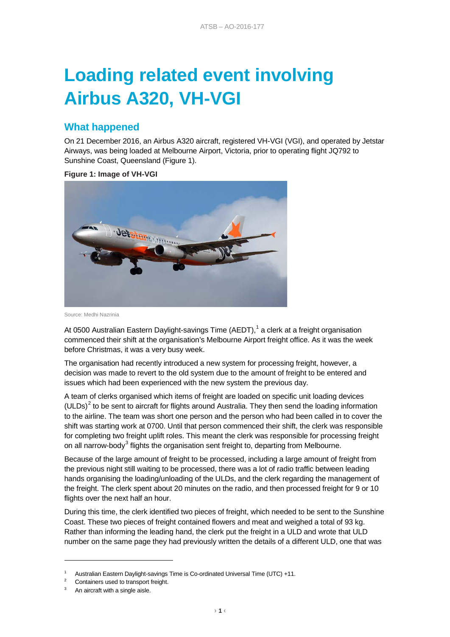# **Loading related event involving Airbus A320, VH-VGI**

## **What happened**

On 21 December 2016, an Airbus A320 aircraft, registered VH-VGI (VGI), and operated by Jetstar Airways, was being loaded at Melbourne Airport, Victoria, prior to operating flight JQ792 to Sunshine Coast, Queensland (Figure 1).

**Figure 1: Image of VH-VGI**



Source: Medhi Nazrinia

At 0500 Australian Eastern Daylight-savings Time (AEDT),<sup>[1](#page-0-0)</sup> a clerk at a freight organisation commenced their shift at the organisation's Melbourne Airport freight office. As it was the week before Christmas, it was a very busy week.

The organisation had recently introduced a new system for processing freight, however, a decision was made to revert to the old system due to the amount of freight to be entered and issues which had been experienced with the new system the previous day.

A team of clerks organised which items of freight are loaded on specific unit loading devices (ULDs)<sup>[2](#page-2-0)</sup> to be sent to aircraft for flights around Australia. They then send the loading information to the airline. The team was short one person and the person who had been called in to cover the shift was starting work at 0700. Until that person commenced their shift, the clerk was responsible for completing two freight uplift roles. This meant the clerk was responsible for processing freight on all narrow-body<sup>[3](#page-2-1)</sup> flights the organisation sent freight to, departing from Melbourne.

Because of the large amount of freight to be processed, including a large amount of freight from the previous night still waiting to be processed, there was a lot of radio traffic between leading hands organising the loading/unloading of the ULDs, and the clerk regarding the management of the freight. The clerk spent about 20 minutes on the radio, and then processed freight for 9 or 10 flights over the next half an hour.

During this time, the clerk identified two pieces of freight, which needed to be sent to the Sunshine Coast. These two pieces of freight contained flowers and meat and weighed a total of 93 kg. Rather than informing the leading hand, the clerk put the freight in a ULD and wrote that ULD number on the same page they had previously written the details of a different ULD, one that was

-

Australian Eastern Daylight-savings Time is Co-ordinated Universal Time (UTC) +11.<br>Containers used to transport freight.

<span id="page-2-1"></span><span id="page-2-0"></span><sup>&</sup>lt;sup>3</sup> An aircraft with a single aisle.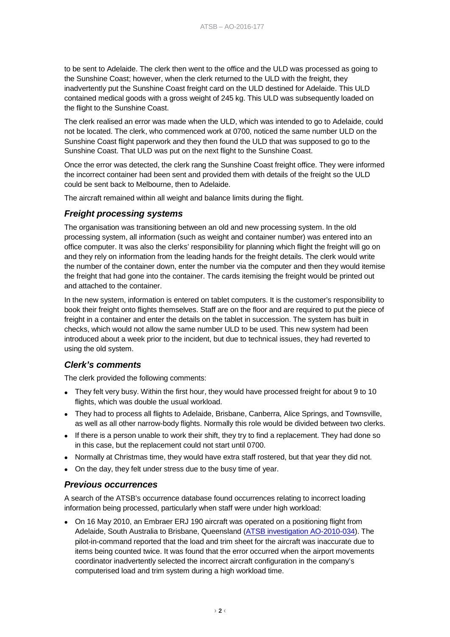to be sent to Adelaide. The clerk then went to the office and the ULD was processed as going to the Sunshine Coast; however, when the clerk returned to the ULD with the freight, they inadvertently put the Sunshine Coast freight card on the ULD destined for Adelaide. This ULD contained medical goods with a gross weight of 245 kg. This ULD was subsequently loaded on the flight to the Sunshine Coast.

The clerk realised an error was made when the ULD, which was intended to go to Adelaide, could not be located. The clerk, who commenced work at 0700, noticed the same number ULD on the Sunshine Coast flight paperwork and they then found the ULD that was supposed to go to the Sunshine Coast. That ULD was put on the next flight to the Sunshine Coast.

Once the error was detected, the clerk rang the Sunshine Coast freight office. They were informed the incorrect container had been sent and provided them with details of the freight so the ULD could be sent back to Melbourne, then to Adelaide.

The aircraft remained within all weight and balance limits during the flight.

## *Freight processing systems*

The organisation was transitioning between an old and new processing system. In the old processing system, all information (such as weight and container number) was entered into an office computer. It was also the clerks' responsibility for planning which flight the freight will go on and they rely on information from the leading hands for the freight details. The clerk would write the number of the container down, enter the number via the computer and then they would itemise the freight that had gone into the container. The cards itemising the freight would be printed out and attached to the container.

In the new system, information is entered on tablet computers. It is the customer's responsibility to book their freight onto flights themselves. Staff are on the floor and are required to put the piece of freight in a container and enter the details on the tablet in succession. The system has built in checks, which would not allow the same number ULD to be used. This new system had been introduced about a week prior to the incident, but due to technical issues, they had reverted to using the old system.

### *Clerk's comments*

The clerk provided the following comments:

- They felt very busy. Within the first hour, they would have processed freight for about 9 to 10 flights, which was double the usual workload.
- They had to process all flights to Adelaide, Brisbane, Canberra, Alice Springs, and Townsville, as well as all other narrow-body flights. Normally this role would be divided between two clerks.
- If there is a person unable to work their shift, they try to find a replacement. They had done so in this case, but the replacement could not start until 0700.
- Normally at Christmas time, they would have extra staff rostered, but that year they did not.
- On the day, they felt under stress due to the busy time of year.

### *Previous occurrences*

A search of the ATSB's occurrence database found occurrences relating to incorrect loading information being processed, particularly when staff were under high workload:

• On 16 May 2010, an Embraer ERJ 190 aircraft was operated on a positioning flight from Adelaide, South Australia to Brisbane, Queensland [\(ATSB investigation AO-2010-034\)](http://www.atsb.gov.au/publications/investigation_reports/2010/aair/ao-2010-034/). The pilot-in-command reported that the load and trim sheet for the aircraft was inaccurate due to items being counted twice. It was found that the error occurred when the airport movements coordinator inadvertently selected the incorrect aircraft configuration in the company's computerised load and trim system during a high workload time.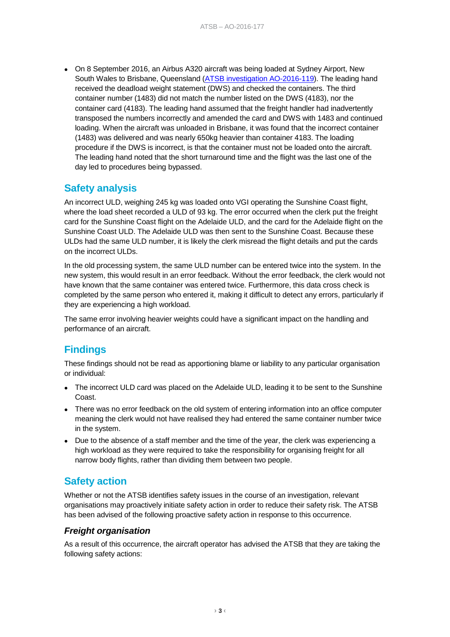• On 8 September 2016, an Airbus A320 aircraft was being loaded at Sydney Airport, New South Wales to Brisbane, Queensland [\(ATSB investigation AO-2016-119\)](http://www.atsb.gov.au/publications/investigation_reports/2016/aair/ao-2016-119/). The leading hand received the deadload weight statement (DWS) and checked the containers. The third container number (1483) did not match the number listed on the DWS (4183), nor the container card (4183). The leading hand assumed that the freight handler had inadvertently transposed the numbers incorrectly and amended the card and DWS with 1483 and continued loading. When the aircraft was unloaded in Brisbane, it was found that the incorrect container (1483) was delivered and was nearly 650kg heavier than container 4183. The loading procedure if the DWS is incorrect, is that the container must not be loaded onto the aircraft. The leading hand noted that the short turnaround time and the flight was the last one of the day led to procedures being bypassed.

# **Safety analysis**

An incorrect ULD, weighing 245 kg was loaded onto VGI operating the Sunshine Coast flight, where the load sheet recorded a ULD of 93 kg. The error occurred when the clerk put the freight card for the Sunshine Coast flight on the Adelaide ULD, and the card for the Adelaide flight on the Sunshine Coast ULD. The Adelaide ULD was then sent to the Sunshine Coast. Because these ULDs had the same ULD number, it is likely the clerk misread the flight details and put the cards on the incorrect ULDs.

In the old processing system, the same ULD number can be entered twice into the system. In the new system, this would result in an error feedback. Without the error feedback, the clerk would not have known that the same container was entered twice. Furthermore, this data cross check is completed by the same person who entered it, making it difficult to detect any errors, particularly if they are experiencing a high workload.

The same error involving heavier weights could have a significant impact on the handling and performance of an aircraft.

# **Findings**

These findings should not be read as apportioning blame or liability to any particular organisation or individual:

- The incorrect ULD card was placed on the Adelaide ULD, leading it to be sent to the Sunshine Coast.
- There was no error feedback on the old system of entering information into an office computer meaning the clerk would not have realised they had entered the same container number twice in the system.
- Due to the absence of a staff member and the time of the year, the clerk was experiencing a high workload as they were required to take the responsibility for organising freight for all narrow body flights, rather than dividing them between two people.

# **Safety action**

Whether or not the ATSB identifies safety issues in the course of an investigation, relevant organisations may proactively initiate safety action in order to reduce their safety risk. The ATSB has been advised of the following proactive safety action in response to this occurrence.

### *Freight organisation*

As a result of this occurrence, the aircraft operator has advised the ATSB that they are taking the following safety actions: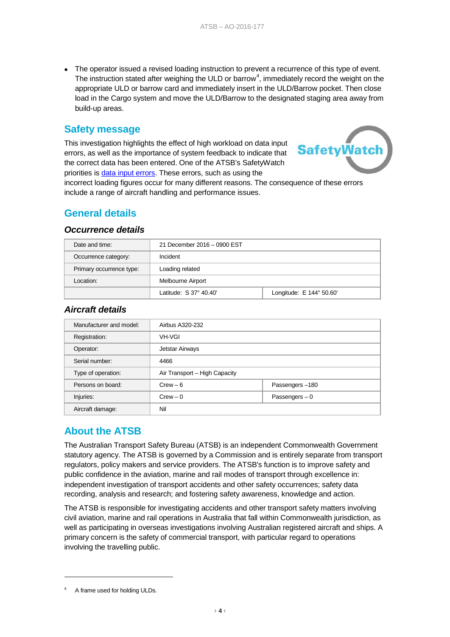• The operator issued a revised loading instruction to prevent a recurrence of this type of event. The instruction stated after weighing the ULD or barrow<sup>[4](#page-2-1)</sup>, immediately record the weight on the appropriate ULD or barrow card and immediately insert in the ULD/Barrow pocket. Then close load in the Cargo system and move the ULD/Barrow to the designated staging area away from build-up areas.

## **Safety message**

This investigation highlights the effect of high workload on data input errors, as well as the importance of system feedback to indicate that the correct data has been entered. One of the ATSB's SafetyWatch priorities is [data input errors.](http://www.atsb.gov.au/safetywatch/data-input-errors.aspx) These errors, such as using the



incorrect loading figures occur for many different reasons. The consequence of these errors include a range of aircraft handling and performance issues.

# **General details**

#### *Occurrence details*

| Date and time:           | 21 December 2016 - 0900 EST |                          |  |
|--------------------------|-----------------------------|--------------------------|--|
| Occurrence category:     | Incident                    |                          |  |
| Primary occurrence type: | Loading related             |                          |  |
| Location:                | Melbourne Airport           |                          |  |
|                          | Latitude: S 37° 40.40'      | Longitude: E 144° 50.60' |  |

### *Aircraft details*

| Manufacturer and model: | Airbus A320-232               |                 |
|-------------------------|-------------------------------|-----------------|
| Registration:           | <b>VH-VGI</b>                 |                 |
| Operator:               | Jetstar Airways               |                 |
| Serial number:          | 4466                          |                 |
| Type of operation:      | Air Transport - High Capacity |                 |
| Persons on board:       | $Crew - 6$                    | Passengers-180  |
| Injuries:               | $Crew - 0$                    | Passengers $-0$ |
| Aircraft damage:        | Nil                           |                 |

# **About the ATSB**

The Australian Transport Safety Bureau (ATSB) is an independent Commonwealth Government statutory agency. The ATSB is governed by a Commission and is entirely separate from transport regulators, policy makers and service providers. The ATSB's function is to improve safety and public confidence in the aviation, marine and rail modes of transport through excellence in: independent investigation of transport accidents and other safety occurrences; safety data recording, analysis and research; and fostering safety awareness, knowledge and action.

The ATSB is responsible for investigating accidents and other transport safety matters involving civil aviation, marine and rail operations in Australia that fall within Commonwealth jurisdiction, as well as participating in overseas investigations involving Australian registered aircraft and ships. A primary concern is the safety of commercial transport, with particular regard to operations involving the travelling public.

-

<sup>4</sup> A frame used for holding ULDs.